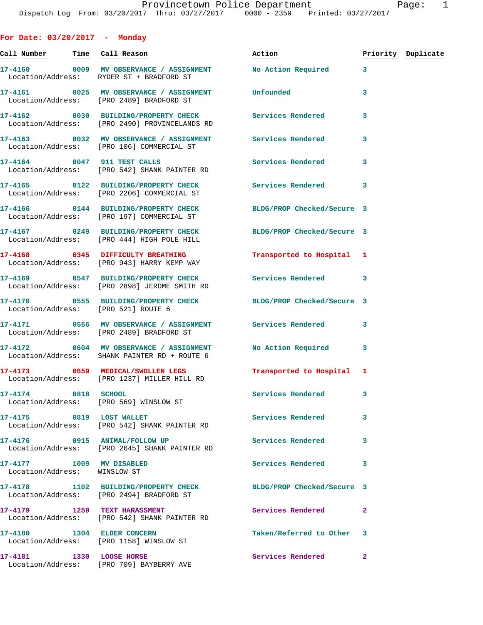**For Date: 03/20/2017 - Monday Call Number Time Call Reason Action Priority Duplicate 17-4160 0009 MV OBSERVANCE / ASSIGNMENT No Action Required 3**  Location/Address: RYDER ST + BRADFORD ST **17-4161 0025 MV OBSERVANCE / ASSIGNMENT Unfounded 3**  Location/Address: [PRO 2489] BRADFORD ST **17-4162 0030 BUILDING/PROPERTY CHECK Services Rendered 3**  Location/Address: [PRO 2490] PROVINCELANDS RD **17-4163 0032 MV OBSERVANCE / ASSIGNMENT Services Rendered 3**  Location/Address: [PRO 106] COMMERCIAL ST **17-4164 0047 911 TEST CALLS Services Rendered 3**  Location/Address: [PRO 542] SHANK PAINTER RD **17-4165 0122 BUILDING/PROPERTY CHECK Services Rendered 3**  Location/Address: [PRO 2206] COMMERCIAL ST **17-4166 0144 BUILDING/PROPERTY CHECK BLDG/PROP Checked/Secure 3**  Location/Address: [PRO 197] COMMERCIAL ST **17-4167 0249 BUILDING/PROPERTY CHECK BLDG/PROP Checked/Secure 3**  Location/Address: [PRO 444] HIGH POLE HILL **17-4168 0345 DIFFICULTY BREATHING Transported to Hospital 1**  Location/Address: [PRO 943] HARRY KEMP WAY **17-4169 0547 BUILDING/PROPERTY CHECK Services Rendered 3**  Location/Address: [PRO 2898] JEROME SMITH RD **17-4170 0555 BUILDING/PROPERTY CHECK BLDG/PROP Checked/Secure 3**  Location/Address: [PRO 521] ROUTE 6 **17-4171 0556 MV OBSERVANCE / ASSIGNMENT Services Rendered 3**  Location/Address: [PRO 2489] BRADFORD ST **17-4172 0604 MV OBSERVANCE / ASSIGNMENT No Action Required 3**  Location/Address: SHANK PAINTER RD + ROUTE 6 **17-4173 0659 MEDICAL/SWOLLEN LEGS Transported to Hospital 1**  Location/Address: [PRO 1237] MILLER HILL RD **17-4174 0818 SCHOOL Services Rendered 3**  Location/Address: [PRO 569] WINSLOW ST 17-4175 0819 LOST WALLET **17-4175** Services Rendered 3 Location/Address: [PRO 542] SHANK PAINTER RD **17-4176 0915 ANIMAL/FOLLOW UP Services Rendered 3**  Location/Address: [PRO 2645] SHANK PAINTER RD **17-4177 1009 MV DISABLED Services Rendered 3**  Location/Address: WINSLOW ST **17-4178 1102 BUILDING/PROPERTY CHECK BLDG/PROP Checked/Secure 3**  Location/Address: [PRO 2494] BRADFORD ST **17-4179 1259 TEXT HARASSMENT Services Rendered 2**  Location/Address: [PRO 542] SHANK PAINTER RD **17-4180 1304 ELDER CONCERN Taken/Referred to Other 3** 

Location/Address: [PRO 1158] WINSLOW ST

**17-4181 1330 LOOSE HORSE Services Rendered 2**  Location/Address: [PRO 709] BAYBERRY AVE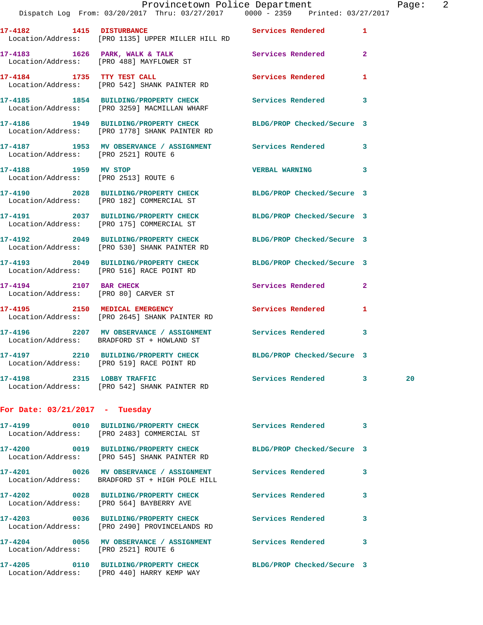|                                      | Provincetown Police Department Page: 2                                                                           |                            |   |    |  |
|--------------------------------------|------------------------------------------------------------------------------------------------------------------|----------------------------|---|----|--|
|                                      | Dispatch Log From: 03/20/2017 Thru: 03/27/2017 0000 - 2359 Printed: 03/27/2017                                   |                            |   |    |  |
|                                      | 17-4182 1415 DISTURBANCE Services Rendered 1<br>Location/Address: [PRO 1135] UPPER MILLER HILL RD                |                            |   |    |  |
|                                      | 17-4183 1626 PARK, WALK & TALK Services Rendered 2<br>Location/Address: [PRO 488] MAYFLOWER ST                   |                            |   |    |  |
|                                      | 17-4184 1735 TTY TEST CALL<br>Location/Address: [PRO 542] SHANK PAINTER RD                                       | Services Rendered 1        |   |    |  |
|                                      | 17-4185 1854 BUILDING/PROPERTY CHECK Services Rendered 3<br>Location/Address: [PRO 3259] MACMILLAN WHARF         |                            |   |    |  |
|                                      | 17-4186 1949 BUILDING/PROPERTY CHECK BLDG/PROP Checked/Secure 3<br>Location/Address: [PRO 1778] SHANK PAINTER RD |                            |   |    |  |
| Location/Address: [PRO 2521] ROUTE 6 | 17-4187 1953 MV OBSERVANCE / ASSIGNMENT Services Rendered 3                                                      |                            |   |    |  |
| Location/Address: [PRO 2513] ROUTE 6 | 17-4188 1959 MV STOP                                                                                             | VERBAL WARNING 3           |   |    |  |
|                                      | 17-4190 2028 BUILDING/PROPERTY CHECK BLDG/PROP Checked/Secure 3<br>Location/Address: [PRO 182] COMMERCIAL ST     |                            |   |    |  |
|                                      | 17-4191 2037 BUILDING/PROPERTY CHECK BLDG/PROP Checked/Secure 3<br>Location/Address: [PRO 175] COMMERCIAL ST     |                            |   |    |  |
|                                      | 17-4192 2049 BUILDING/PROPERTY CHECK BLDG/PROP Checked/Secure 3<br>Location/Address: [PRO 530] SHANK PAINTER RD  |                            |   |    |  |
|                                      | 17-4193 2049 BUILDING/PROPERTY CHECK BLDG/PROP Checked/Secure 3<br>Location/Address: [PRO 516] RACE POINT RD     |                            |   |    |  |
|                                      | 17-4194 2107 BAR CHECK<br>Location/Address: [PRO 80] CARVER ST                                                   | Services Rendered 2        |   |    |  |
|                                      | 17-4195 2150 MEDICAL EMERGENCY<br>Location/Address: [PRO 2645] SHANK PAINTER RD                                  | Services Rendered 1        |   |    |  |
|                                      | 17-4196 2207 MV OBSERVANCE / ASSIGNMENT Services Rendered 3<br>Location/Address: BRADFORD ST + HOWLAND ST        |                            |   |    |  |
| 17-4197                              | 2210 BUILDING/PROPERTY CHECK<br>Location/Address: [PRO 519] RACE POINT RD                                        | BLDG/PROP Checked/Secure 3 |   |    |  |
| 17-4198 2315 LOBBY TRAFFIC           | Location/Address: [PRO 542] SHANK PAINTER RD                                                                     | <b>Services Rendered</b>   | 3 | 20 |  |
| For Date: $03/21/2017$ - Tuesday     |                                                                                                                  |                            |   |    |  |
| 17-4199                              | 0010 BUILDING/PROPERTY CHECK<br>Location/Address: [PRO 2483] COMMERCIAL ST                                       | Services Rendered          | 3 |    |  |
|                                      |                                                                                                                  |                            |   |    |  |

**17-4200 0019 BUILDING/PROPERTY CHECK BLDG/PROP Checked/Secure 3**  Location/Address: [PRO 545] SHANK PAINTER RD **17-4201 0026 MV OBSERVANCE / ASSIGNMENT Services Rendered 3**  Location/Address: BRADFORD ST + HIGH POLE HILL **17-4202 0028 BUILDING/PROPERTY CHECK Services Rendered 3**  Location/Address: [PRO 564] BAYBERRY AVE **17-4203 0036 BUILDING/PROPERTY CHECK Services Rendered 3**  Location/Address: [PRO 2490] PROVINCELANDS RD **17-4204 0056 MV OBSERVANCE / ASSIGNMENT Services Rendered 3**  Location/Address: [PRO 2521] ROUTE 6 **17-4205 0110 BUILDING/PROPERTY CHECK BLDG/PROP Checked/Secure 3**  Location/Address: [PRO 440] HARRY KEMP WAY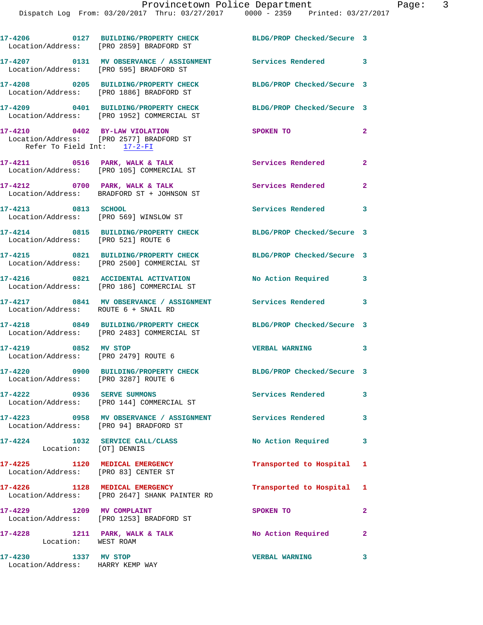|                                                                        | 17-4206 0127 BUILDING/PROPERTY CHECK<br>Location/Address: [PRO 2859] BRADFORD ST   | BLDG/PROP Checked/Secure 3 |                          |
|------------------------------------------------------------------------|------------------------------------------------------------------------------------|----------------------------|--------------------------|
| Location/Address: [PRO 595] BRADFORD ST                                | 17-4207 6131 MV OBSERVANCE / ASSIGNMENT Services Rendered 3                        |                            |                          |
|                                                                        | 17-4208 0205 BUILDING/PROPERTY CHECK<br>Location/Address: [PRO 1886] BRADFORD ST   | BLDG/PROP Checked/Secure 3 |                          |
|                                                                        | 17-4209 0401 BUILDING/PROPERTY CHECK<br>Location/Address: [PRO 1952] COMMERCIAL ST | BLDG/PROP Checked/Secure 3 |                          |
| 17-4210 0402 BY-LAW VIOLATION<br>Refer To Field Int: 17-2-FI           | Location/Address: [PRO 2577] BRADFORD ST                                           | SPOKEN TO                  | $\mathbf{2}$             |
|                                                                        | 17-4211 0516 PARK, WALK & TALK<br>Location/Address: [PRO 105] COMMERCIAL ST        | Services Rendered 2        |                          |
|                                                                        | $17-4212$ 0700 PARK, WALK & TALK<br>Location/Address: BRADFORD ST + JOHNSON ST     | Services Rendered          | $\mathbf{2}$             |
| 17-4213 0813 SCHOOL<br>Location/Address: [PRO 569] WINSLOW ST          |                                                                                    | Services Rendered          | 3                        |
| Location/Address: [PRO 521] ROUTE 6                                    | 17-4214 0815 BUILDING/PROPERTY CHECK BLDG/PROP Checked/Secure 3                    |                            |                          |
|                                                                        | 17-4215 0821 BUILDING/PROPERTY CHECK<br>Location/Address: [PRO 2500] COMMERCIAL ST | BLDG/PROP Checked/Secure 3 |                          |
|                                                                        | 17-4216 0821 ACCIDENTAL ACTIVATION<br>Location/Address: [PRO 186] COMMERCIAL ST    | No Action Required 3       |                          |
| Location/Address: ROUTE 6 + SNAIL RD                                   | 17-4217 0841 MV OBSERVANCE / ASSIGNMENT Services Rendered                          |                            | 3                        |
|                                                                        | 17-4218 0849 BUILDING/PROPERTY CHECK<br>Location/Address: [PRO 2483] COMMERCIAL ST | BLDG/PROP Checked/Secure 3 |                          |
| 17-4219 0852 MV STOP<br>Location/Address: [PRO 2479] ROUTE 6           |                                                                                    | <b>VERBAL WARNING</b>      | $\overline{\phantom{a}}$ |
| Location/Address: [PRO 3287] ROUTE 6                                   | 17-4220 0900 BUILDING/PROPERTY CHECK BLDG/PROP Checked/Secure 3                    |                            |                          |
|                                                                        | 17-4222 0936 SERVE SUMMONS<br>Location/Address: [PRO 144] COMMERCIAL ST            | Services Rendered          | 3                        |
| Location/Address: [PRO 94] BRADFORD ST                                 | 17-4223 0958 MV OBSERVANCE / ASSIGNMENT Services Rendered                          |                            | 3                        |
| 17-4224 1032 SERVICE CALL/CLASS<br>Location: [OT] DENNIS               |                                                                                    | No Action Required         | 3                        |
| 17-4225 1120 MEDICAL EMERGENCY<br>Location/Address: [PRO 83] CENTER ST |                                                                                    | Transported to Hospital 1  |                          |
|                                                                        | 17-4226 1128 MEDICAL EMERGENCY<br>Location/Address: [PRO 2647] SHANK PAINTER RD    | Transported to Hospital 1  |                          |
| 17-4229 1209 MV COMPLAINT                                              | Location/Address: [PRO 1253] BRADFORD ST                                           | SPOKEN TO                  | $\mathbf{2}$             |
| 17-4228<br>Location: WEST ROAM                                         | 1211 PARK, WALK & TALK                                                             | No Action Required         | $\mathbf{2}$             |
| 17-4230 1337 MV STOP                                                   |                                                                                    | <b>VERBAL WARNING</b>      | $\overline{\mathbf{3}}$  |

Location/Address: HARRY KEMP WAY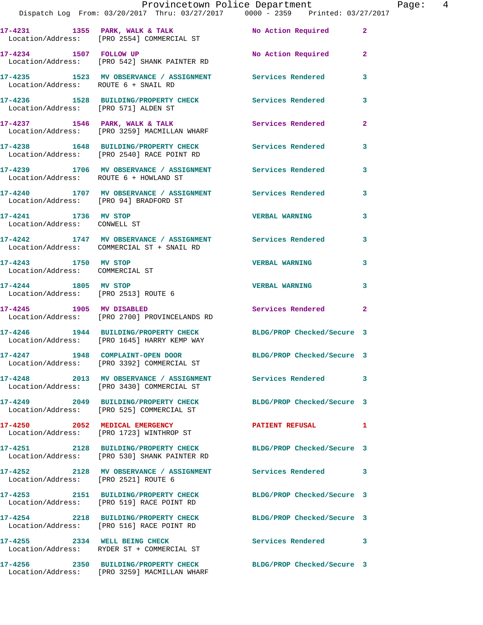|                                                              | Provincetown Police Department<br>Dispatch Log From: 03/20/2017 Thru: 03/27/2017 0000 - 2359 Printed: 03/27/2017 |                            |                |
|--------------------------------------------------------------|------------------------------------------------------------------------------------------------------------------|----------------------------|----------------|
|                                                              | 17-4231 1355 PARK, WALK & TALK<br>Location/Address: [PRO 2554] COMMERCIAL ST                                     | No Action Required         | $\overline{2}$ |
| 17-4234 1507 FOLLOW UP                                       | Location/Address: [PRO 542] SHANK PAINTER RD                                                                     | No Action Required         | $\overline{2}$ |
| Location/Address: ROUTE 6 + SNAIL RD                         | 17-4235 1523 MV OBSERVANCE / ASSIGNMENT Services Rendered                                                        |                            | 3              |
| Location/Address: [PRO 571] ALDEN ST                         | 17-4236 1528 BUILDING/PROPERTY CHECK Services Rendered                                                           |                            | 3              |
|                                                              | $17-4237$ 1546 PARK, WALK & TALK<br>Location/Address: [PRO 3259] MACMILLAN WHARF                                 | <b>Services Rendered</b>   | $\overline{2}$ |
|                                                              | 17-4238 1648 BUILDING/PROPERTY CHECK Services Rendered<br>Location/Address: [PRO 2540] RACE POINT RD             |                            | 3              |
| Location/Address: ROUTE 6 + HOWLAND ST                       | 17-4239 1706 MV OBSERVANCE / ASSIGNMENT Services Rendered                                                        |                            | 3              |
| Location/Address: [PRO 94] BRADFORD ST                       | 17-4240 1707 MV OBSERVANCE / ASSIGNMENT Services Rendered                                                        |                            | 3              |
| 17-4241 1736 MV STOP<br>Location/Address: CONWELL ST         |                                                                                                                  | <b>VERBAL WARNING</b>      | 3              |
|                                                              | 17-4242 1747 MV OBSERVANCE / ASSIGNMENT Services Rendered<br>Location/Address: COMMERCIAL ST + SNAIL RD          |                            | 3              |
| 17-4243 1750 MV STOP<br>Location/Address: COMMERCIAL ST      |                                                                                                                  | <b>VERBAL WARNING</b>      | 3              |
| 17-4244 1805 MV STOP<br>Location/Address: [PRO 2513] ROUTE 6 |                                                                                                                  | <b>VERBAL WARNING</b>      | 3              |
| 17-4245 1905 MV DISABLED                                     | Location/Address: [PRO 2700] PROVINCELANDS RD                                                                    | <b>Services Rendered</b>   | $\overline{a}$ |
|                                                              | 17-4246 1944 BUILDING/PROPERTY CHECK BLDG/PROP Checked/Secure 3<br>Location/Address: [PRO 1645] HARRY KEMP WAY   |                            |                |
|                                                              | 17-4247 1948 COMPLAINT-OPEN DOOR<br>Location/Address: [PRO 3392] COMMERCIAL ST                                   | BLDG/PROP Checked/Secure 3 |                |
|                                                              | 17-4248 2013 MV OBSERVANCE / ASSIGNMENT Services Rendered<br>Location/Address: [PRO 3430] COMMERCIAL ST          |                            | 3              |
|                                                              | 17-4249 2049 BUILDING/PROPERTY CHECK<br>Location/Address: [PRO 525] COMMERCIAL ST                                | BLDG/PROP Checked/Secure 3 |                |
|                                                              | 17-4250 2052 MEDICAL EMERGENCY<br>Location/Address: [PRO 1723] WINTHROP ST                                       | PATIENT REFUSAL            | 1              |
|                                                              | 17-4251 2128 BUILDING/PROPERTY CHECK<br>Location/Address: [PRO 530] SHANK PAINTER RD                             | BLDG/PROP Checked/Secure 3 |                |
| Location/Address: [PRO 2521] ROUTE 6                         | 17-4252 2128 MV OBSERVANCE / ASSIGNMENT Services Rendered                                                        |                            | 3              |
|                                                              | 17-4253 2151 BUILDING/PROPERTY CHECK BLDG/PROP Checked/Secure 3<br>Location/Address: [PRO 519] RACE POINT RD     |                            |                |
|                                                              | 17-4254 2218 BUILDING/PROPERTY CHECK<br>Location/Address: [PRO 516] RACE POINT RD                                | BLDG/PROP Checked/Secure 3 |                |
| 17-4255 2334 WELL BEING CHECK                                | Location/Address: RYDER ST + COMMERCIAL ST                                                                       | Services Rendered          | 3              |
|                                                              | 17-4256 2350 BUILDING/PROPERTY CHECK BLDG/PROP Checked/Secure 3                                                  |                            |                |

Location/Address: [PRO 3259] MACMILLAN WHARF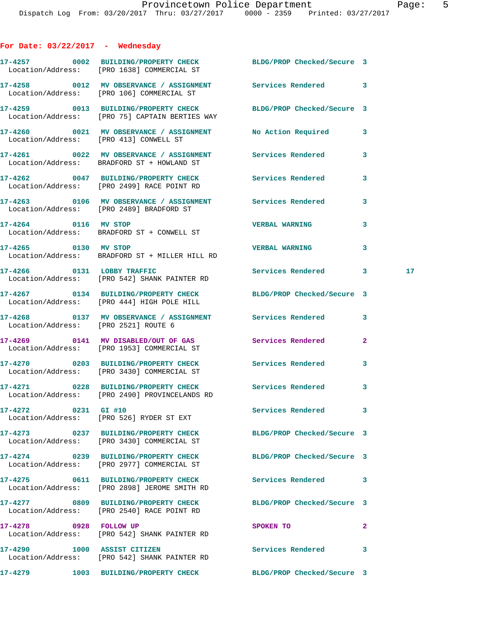## **For Date: 03/22/2017 - Wednesday**

|                                      | 17-4257 0002 BUILDING/PROPERTY CHECK BLDG/PROP Checked/Secure 3<br>Location/Address: [PRO 1638] COMMERCIAL ST         |                            |              |                 |
|--------------------------------------|-----------------------------------------------------------------------------------------------------------------------|----------------------------|--------------|-----------------|
|                                      | 17-4258 0012 MV OBSERVANCE / ASSIGNMENT Services Rendered 3<br>Location/Address: [PRO 106] COMMERCIAL ST              |                            |              |                 |
|                                      | 17-4259 0013 BUILDING/PROPERTY CHECK BLDG/PROP Checked/Secure 3<br>Location/Address: [PRO 75] CAPTAIN BERTIES WAY     |                            |              |                 |
|                                      | 17-4260 0021 MV OBSERVANCE / ASSIGNMENT No Action Required 3<br>Location/Address: [PRO 413] CONWELL ST                |                            |              |                 |
|                                      | 17-4261 0022 MV OBSERVANCE / ASSIGNMENT Services Rendered<br>Location/Address: BRADFORD ST + HOWLAND ST               |                            | 3            |                 |
|                                      | 17-4262 0047 BUILDING/PROPERTY CHECK Services Rendered<br>Location/Address: [PRO 2499] RACE POINT RD                  |                            | 3            |                 |
|                                      | 17-4263 0106 MV OBSERVANCE / ASSIGNMENT Services Rendered<br>Location/Address: [PRO 2489] BRADFORD ST                 |                            | 3            |                 |
| 17-4264 0116 MV STOP                 | Location/Address: BRADFORD ST + CONWELL ST                                                                            | <b>VERBAL WARNING</b>      | 3            |                 |
|                                      | Location/Address: BRADFORD ST + MILLER HILL RD                                                                        |                            | 3            |                 |
|                                      | 17-4266 0131 LOBBY TRAFFIC<br>Location/Address: [PRO 542] SHANK PAINTER RD                                            | Services Rendered 3        |              | 17 <sub>2</sub> |
|                                      | 17-4267 			 0134 BUILDING/PROPERTY CHECK 				BLDG/PROP Checked/Secure 3<br>Location/Address: [PRO 444] HIGH POLE HILL |                            |              |                 |
| Location/Address: [PRO 2521] ROUTE 6 | 17-4268 0137 MV OBSERVANCE / ASSIGNMENT Services Rendered 3                                                           |                            |              |                 |
|                                      | 17-4269 0141 MV DISABLED/OUT OF GAS Services Rendered<br>Location/Address: [PRO 1953] COMMERCIAL ST                   |                            | $\mathbf{2}$ |                 |
|                                      | 17-4270 0203 BUILDING/PROPERTY CHECK<br>Location/Address: [PRO 3430] COMMERCIAL ST                                    | Services Rendered          | 3            |                 |
|                                      | 17-4271 0228 BUILDING/PROPERTY CHECK Services Rendered 3<br>Location/Address: [PRO 2490] PROVINCELANDS RD             |                            |              |                 |
|                                      | $17-4272$ 0231 GI #10<br>Location/Address: [PRO 526] RYDER ST EXT                                                     | Services Rendered 3        |              |                 |
|                                      | 17-4273 0237 BUILDING/PROPERTY CHECK<br>Location/Address: [PRO 3430] COMMERCIAL ST                                    | BLDG/PROP Checked/Secure 3 |              |                 |
|                                      | 17-4274 0239 BUILDING/PROPERTY CHECK<br>Location/Address: [PRO 2977] COMMERCIAL ST                                    | BLDG/PROP Checked/Secure 3 |              |                 |
|                                      | 17-4275 0611 BUILDING/PROPERTY CHECK Services Rendered<br>Location/Address: [PRO 2898] JEROME SMITH RD                |                            | 3            |                 |
|                                      | 17-4277 0809 BUILDING/PROPERTY CHECK<br>Location/Address: [PRO 2540] RACE POINT RD                                    | BLDG/PROP Checked/Secure 3 |              |                 |
| 17-4278 0928 FOLLOW UP               | Location/Address: [PRO 542] SHANK PAINTER RD                                                                          | SPOKEN TO                  | $\mathbf{2}$ |                 |
| 17-4290 1000 ASSIST CITIZEN          | Location/Address: [PRO 542] SHANK PAINTER RD                                                                          | Services Rendered          | 3            |                 |
|                                      | 17-4279 1003 BUILDING/PROPERTY CHECK BLDG/PROP Checked/Secure 3                                                       |                            |              |                 |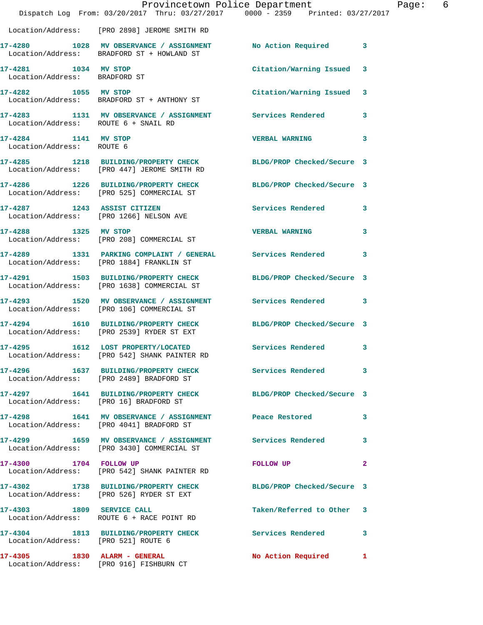|                                                       | Provincetown Police Department<br>Dispatch Log From: 03/20/2017 Thru: 03/27/2017 0000 - 2359 Printed: 03/27/2017 |                            |              |
|-------------------------------------------------------|------------------------------------------------------------------------------------------------------------------|----------------------------|--------------|
|                                                       |                                                                                                                  |                            |              |
|                                                       | Location/Address: [PRO 2898] JEROME SMITH RD                                                                     |                            |              |
|                                                       | 17-4280 1028 MV OBSERVANCE / ASSIGNMENT<br>Location/Address: BRADFORD ST + HOWLAND ST                            | No Action Required 3       |              |
| 17-4281 1034 MV STOP<br>Location/Address: BRADFORD ST |                                                                                                                  | Citation/Warning Issued    | 3            |
| 17-4282 1055 MV STOP                                  | Location/Address: BRADFORD ST + ANTHONY ST                                                                       | Citation/Warning Issued 3  |              |
| Location/Address: ROUTE 6 + SNAIL RD                  | 17-4283 1131 MV OBSERVANCE / ASSIGNMENT Services Rendered                                                        |                            | 3            |
| 17-4284 1141 MV STOP<br>Location/Address: ROUTE 6     |                                                                                                                  | <b>VERBAL WARNING</b>      | 3            |
|                                                       | 17-4285 1218 BUILDING/PROPERTY CHECK<br>Location/Address: [PRO 447] JEROME SMITH RD                              | BLDG/PROP Checked/Secure 3 |              |
|                                                       | 17-4286 1226 BUILDING/PROPERTY CHECK<br>Location/Address: [PRO 525] COMMERCIAL ST                                | BLDG/PROP Checked/Secure 3 |              |
|                                                       | 17-4287 1243 ASSIST CITIZEN<br>Location/Address: [PRO 1266] NELSON AVE                                           | <b>Services Rendered</b>   | 3            |
| 17-4288 1325 MV STOP                                  | Location/Address: [PRO 208] COMMERCIAL ST                                                                        | <b>VERBAL WARNING</b>      | 3            |
|                                                       | 17-4289 1331 PARKING COMPLAINT / GENERAL Services Rendered 3<br>Location/Address: [PRO 1884] FRANKLIN ST         |                            |              |
|                                                       | 17-4291 1503 BUILDING/PROPERTY CHECK<br>Location/Address: [PRO 1638] COMMERCIAL ST                               | BLDG/PROP Checked/Secure 3 |              |
|                                                       | 17-4293 1520 MV OBSERVANCE / ASSIGNMENT Services Rendered 3<br>Location/Address: [PRO 106] COMMERCIAL ST         |                            |              |
|                                                       | 17-4294 1610 BUILDING/PROPERTY CHECK<br>Location/Address: [PRO 2539] RYDER ST EXT                                | BLDG/PROP Checked/Secure 3 |              |
| 17-4295                                               | 1612 LOST PROPERTY/LOCATED<br>Location/Address: [PRO 542] SHANK PAINTER RD                                       | Services Rendered 3        |              |
|                                                       | 17-4296 1637 BUILDING/PROPERTY CHECK Services Rendered 3<br>Location/Address: [PRO 2489] BRADFORD ST             |                            |              |
|                                                       | 17-4297 1641 BUILDING/PROPERTY CHECK<br>Location/Address: [PRO 16] BRADFORD ST                                   | BLDG/PROP Checked/Secure 3 |              |
|                                                       | 17-4298 1641 MV OBSERVANCE / ASSIGNMENT Peace Restored<br>Location/Address: [PRO 4041] BRADFORD ST               |                            | 3            |
|                                                       | 17-4299 1659 MV OBSERVANCE / ASSIGNMENT Services Rendered<br>Location/Address: [PRO 3430] COMMERCIAL ST          |                            | 3            |
| 17-4300 1704 FOLLOW UP                                | Location/Address: [PRO 542] SHANK PAINTER RD                                                                     | <b>FOLLOW UP</b>           | $\mathbf{2}$ |
|                                                       | 17-4302 1738 BUILDING/PROPERTY CHECK<br>Location/Address: [PRO 526] RYDER ST EXT                                 | BLDG/PROP Checked/Secure 3 |              |
|                                                       | 17-4303 1809 SERVICE CALL<br>Location/Address: ROUTE 6 + RACE POINT RD                                           | Taken/Referred to Other 3  |              |
| Location/Address: [PRO 521] ROUTE 6                   | 17-4304 1813 BUILDING/PROPERTY CHECK Services Rendered 3                                                         |                            |              |
| 17-4305 1830 ALARM - GENERAL                          | Location/Address: [PRO 916] FISHBURN CT                                                                          | No Action Required         | 1            |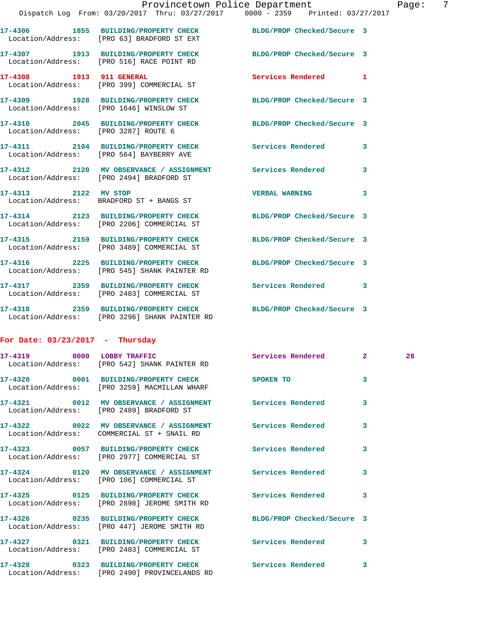**17-4306 1855 BUILDING/PROPERTY CHECK BLDG/PROP Checked/Secure 3**  Location/Address: [PRO 63] BRADFORD ST EXT **17-4307 1913 BUILDING/PROPERTY CHECK BLDG/PROP Checked/Secure 3**  Location/Address: [PRO 516] RACE POINT RD **17-4308 1913 911 GENERAL Services Rendered 1**  Location/Address: [PRO 399] COMMERCIAL ST **17-4309 1928 BUILDING/PROPERTY CHECK BLDG/PROP Checked/Secure 3**  Location/Address: [PRO 1646] WINSLOW ST **17-4310 2045 BUILDING/PROPERTY CHECK BLDG/PROP Checked/Secure 3**  Location/Address: [PRO 3287] ROUTE 6 **17-4311 2104 BUILDING/PROPERTY CHECK Services Rendered 3**  Location/Address: [PRO 564] BAYBERRY AVE **17-4312 2120 MV OBSERVANCE / ASSIGNMENT Services Rendered 3**  Location/Address: [PRO 2494] BRADFORD ST **17-4313 2122 MV STOP VERBAL WARNING 3**  Location/Address: BRADFORD ST + BANGS ST **17-4314 2123 BUILDING/PROPERTY CHECK BLDG/PROP Checked/Secure 3**  Location/Address: [PRO 2206] COMMERCIAL ST **17-4315 2159 BUILDING/PROPERTY CHECK BLDG/PROP Checked/Secure 3**  Location/Address: [PRO 3489] COMMERCIAL ST **17-4316 2225 BUILDING/PROPERTY CHECK BLDG/PROP Checked/Secure 3**  Location/Address: [PRO 545] SHANK PAINTER RD **17-4317 2359 BUILDING/PROPERTY CHECK Services Rendered 3**  Location/Address: [PRO 2483] COMMERCIAL ST **17-4318 2359 BUILDING/PROPERTY CHECK BLDG/PROP Checked/Secure 3** 

Location/Address: [PRO 3296] SHANK PAINTER RD

## **For Date: 03/23/2017 - Thursday**

| 17-4319 0000 LOBBY TRAFFIC Services Rendered 2<br>Location/Address: [PRO 542] SHANK PAINTER RD                 |                         | 28 |
|----------------------------------------------------------------------------------------------------------------|-------------------------|----|
| 17-4320 0001 BUILDING/PROPERTY CHECK SPOKEN TO<br>Location/Address: [PRO 3259] MACMILLAN WHARF                 | $\overline{\mathbf{3}}$ |    |
| 17-4321 0012 MV OBSERVANCE / ASSIGNMENT Services Rendered<br>Location/Address: [PRO 2489] BRADFORD ST          | $\overline{\mathbf{3}}$ |    |
| 17-4322 6022 MV OBSERVANCE / ASSIGNMENT Services Rendered<br>Location/Address: COMMERCIAL ST + SNAIL RD        | $\overline{\mathbf{3}}$ |    |
| 17-4323 0057 BUILDING/PROPERTY CHECK Services Rendered<br>Location/Address: [PRO 2977] COMMERCIAL ST           | $\overline{\mathbf{3}}$ |    |
| 17-4324 0120 MV OBSERVANCE / ASSIGNMENT Services Rendered<br>Location/Address: [PRO 106] COMMERCIAL ST         | 3                       |    |
| 17-4325 		 0125 BUILDING/PROPERTY CHECK 		 Services Rendered<br>Location/Address: [PRO 2898] JEROME SMITH RD   | 3                       |    |
| 17-4326 0235 BUILDING/PROPERTY CHECK BLDG/PROP Checked/Secure 3<br>Location/Address: [PRO 447] JEROME SMITH RD |                         |    |
| 17-4327 0321 BUILDING/PROPERTY CHECK Services Rendered<br>Location/Address: [PRO 2483] COMMERCIAL ST           | $\overline{\mathbf{3}}$ |    |
| 17-4328 			 0323 BUILDING/PROPERTY CHECK Services Rendered<br>Location/Address: [PRO 2490] PROVINCELANDS RD    | 3                       |    |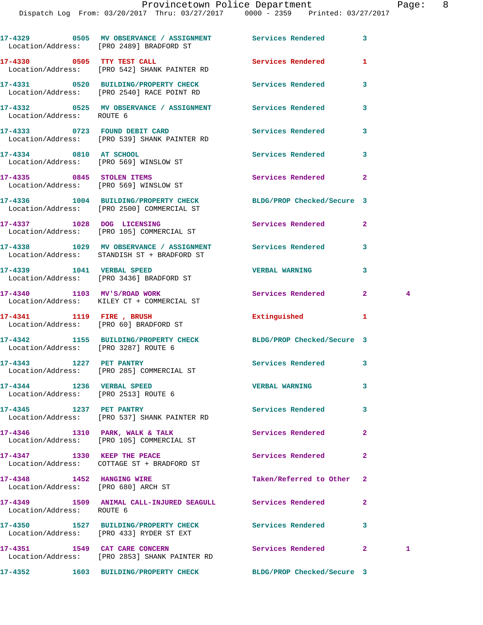|                             | 17-4329 6505 MV OBSERVANCE / ASSIGNMENT Services Rendered<br>Location/Address: [PRO 2489] BRADFORD ST    |                            | 3              |   |
|-----------------------------|----------------------------------------------------------------------------------------------------------|----------------------------|----------------|---|
|                             | 17-4330 0505 TTY TEST CALL<br>Location/Address: [PRO 542] SHANK PAINTER RD                               | Services Rendered          | 1              |   |
|                             | 17-4331 0520 BUILDING/PROPERTY CHECK Services Rendered<br>Location/Address: [PRO 2540] RACE POINT RD     |                            | 3              |   |
| Location/Address: ROUTE 6   | 17-4332 0525 MV OBSERVANCE / ASSIGNMENT Services Rendered                                                |                            | 3              |   |
|                             | 17-4333 0723 FOUND DEBIT CARD<br>Location/Address: [PRO 539] SHANK PAINTER RD                            | <b>Services Rendered</b>   | 3              |   |
|                             | 17-4334 0810 AT SCHOOL<br>Location/Address: [PRO 569] WINSLOW ST                                         | Services Rendered          | 3              |   |
|                             | 17-4335 0845 STOLEN ITEMS<br>Location/Address: [PRO 569] WINSLOW ST                                      | Services Rendered          | $\mathbf{2}$   |   |
|                             | 17-4336 1004 BUILDING/PROPERTY CHECK<br>Location/Address: [PRO 2500] COMMERCIAL ST                       | BLDG/PROP Checked/Secure 3 |                |   |
|                             | 17-4337 1028 DOG LICENSING<br>Location/Address: [PRO 105] COMMERCIAL ST                                  | Services Rendered          | $\mathbf{2}$   |   |
|                             | 17-4338 1029 MV OBSERVANCE / ASSIGNMENT Services Rendered<br>Location/Address: STANDISH ST + BRADFORD ST |                            | 3              |   |
|                             | 17-4339 1041 VERBAL SPEED<br>Location/Address: [PRO 3436] BRADFORD ST                                    | <b>VERBAL WARNING</b>      | 3              |   |
|                             | 17-4340 1103 MV'S/ROAD WORK<br>Location/Address: KILEY CT + COMMERCIAL ST                                | Services Rendered          | $\overline{2}$ | 4 |
|                             | 17-4341 1119 FIRE , BRUSH<br>Location/Address: [PRO 60] BRADFORD ST                                      | Extinguished               | 1              |   |
|                             | 17-4342 1155 BUILDING/PROPERTY CHECK BLDG/PROP Checked/Secure 3<br>Location/Address: [PRO 3287] ROUTE 6  |                            |                |   |
|                             | 17-4343 1227 PET PANTRY<br>Location/Address: [PRO 285] COMMERCIAL ST                                     | Services Rendered          | 3              |   |
|                             | 17-4344 1236 VERBAL SPEED<br>Location/Address: [PRO 2513] ROUTE 6                                        | <b>VERBAL WARNING</b>      | 3              |   |
| 17-4345 1237 PET PANTRY     | Location/Address: [PRO 537] SHANK PAINTER RD                                                             | Services Rendered          | 3              |   |
|                             | $17-4346$ 1310 PARK, WALK & TALK<br>Location/Address: [PRO 105] COMMERCIAL ST                            | Services Rendered          | $\overline{a}$ |   |
| 17-4347 1330 KEEP THE PEACE | Location/Address: COTTAGE ST + BRADFORD ST                                                               | Services Rendered          | $\overline{2}$ |   |
| 17-4348 1452 HANGING WIRE   | Location/Address: [PRO 680] ARCH ST                                                                      | Taken/Referred to Other    | $\overline{2}$ |   |
| Location/Address: ROUTE 6   | 17-4349 1509 ANIMAL CALL-INJURED SEAGULL Services Rendered                                               |                            | $\overline{a}$ |   |
|                             | 17-4350 1527 BUILDING/PROPERTY CHECK Services Rendered<br>Location/Address: [PRO 433] RYDER ST EXT       |                            | 3              |   |
|                             | 17-4351 1549 CAT CARE CONCERN<br>Location/Address: [PRO 2853] SHANK PAINTER RD                           | Services Rendered          | $\mathbf{2}$   | 1 |
|                             | 17-4352 1603 BUILDING/PROPERTY CHECK BLDG/PROP Checked/Secure 3                                          |                            |                |   |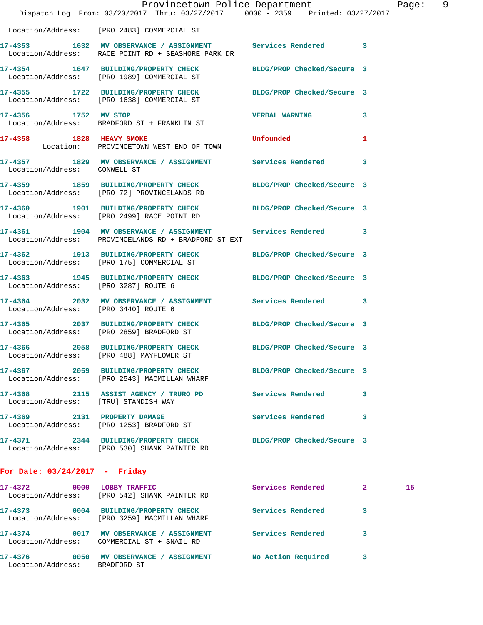|                                      | Provincetown Police Department<br>Dispatch Log From: 03/20/2017 Thru: 03/27/2017 0000 - 2359 Printed: 03/27/2017  |                       |   | Page: 9 |  |
|--------------------------------------|-------------------------------------------------------------------------------------------------------------------|-----------------------|---|---------|--|
|                                      | Location/Address: [PRO 2483] COMMERCIAL ST                                                                        |                       |   |         |  |
|                                      | 17-4353 1632 MV OBSERVANCE / ASSIGNMENT Services Rendered 3<br>Location/Address: RACE POINT RD + SEASHORE PARK DR |                       |   |         |  |
|                                      | 17-4354 1647 BUILDING/PROPERTY CHECK BLDG/PROP Checked/Secure 3<br>Location/Address: [PRO 1989] COMMERCIAL ST     |                       |   |         |  |
|                                      | 17-4355 1722 BUILDING/PROPERTY CHECK BLDG/PROP Checked/Secure 3<br>Location/Address: [PRO 1638] COMMERCIAL ST     |                       |   |         |  |
|                                      | 17-4356 1752 MV STOP<br>Location/Address: BRADFORD ST + FRANKLIN ST                                               | <b>VERBAL WARNING</b> | 3 |         |  |
| 17-4358 1828 HEAVY SMOKE             | Location: PROVINCETOWN WEST END OF TOWN                                                                           | <b>Unfounded</b>      | 1 |         |  |
|                                      | 17-4357 1829 MV OBSERVANCE / ASSIGNMENT Services Rendered Location/Address: CONWELL ST                            |                       | 3 |         |  |
|                                      | 17-4359 1859 BUILDING/PROPERTY CHECK BLDG/PROP Checked/Secure 3<br>Location/Address: [PRO 72] PROVINCELANDS RD    |                       |   |         |  |
|                                      | 17-4360 1901 BUILDING/PROPERTY CHECK BLDG/PROP Checked/Secure 3<br>Location/Address: [PRO 2499] RACE POINT RD     |                       |   |         |  |
|                                      | 17-4361 1904 MV OBSERVANCE / ASSIGNMENT Services Rendered<br>Location/Address: PROVINCELANDS RD + BRADFORD ST EXT |                       | 3 |         |  |
|                                      | 17-4362 1913 BUILDING/PROPERTY CHECK BLDG/PROP Checked/Secure 3<br>Location/Address: [PRO 175] COMMERCIAL ST      |                       |   |         |  |
| Location/Address: [PRO 3287] ROUTE 6 | 17-4363 1945 BUILDING/PROPERTY CHECK BLDG/PROP Checked/Secure 3                                                   |                       |   |         |  |
| Location/Address: [PRO 3440] ROUTE 6 | 17-4364 2032 MV OBSERVANCE / ASSIGNMENT Services Rendered 3                                                       |                       |   |         |  |
|                                      | 17-4365 2037 BUILDING/PROPERTY CHECK BLDG/PROP Checked/Secure 3<br>Location/Address: [PRO 2859] BRADFORD ST       |                       |   |         |  |
|                                      | 17-4366 2058 BUILDING/PROPERTY CHECK BLDG/PROP Checked/Secure 3<br>Location/Address: [PRO 488] MAYFLOWER ST       |                       |   |         |  |
|                                      | Location/Address: [PRO 2543] MACMILLAN WHARF                                                                      |                       |   |         |  |
| Location/Address: [TRU] STANDISH WAY | 17-4368 2115 ASSIST AGENCY / TRURO PD Services Rendered                                                           |                       | 3 |         |  |
|                                      | 17-4369 2131 PROPERTY DAMAGE<br>Location/Address: [PRO 1253] BRADFORD ST                                          | Services Rendered     | 3 |         |  |
|                                      | 17-4371 2344 BUILDING/PROPERTY CHECK BLDG/PROP Checked/Secure 3<br>Location/Address: [PRO 530] SHANK PAINTER RD   |                       |   |         |  |
| For Date: $03/24/2017$ - Friday      |                                                                                                                   |                       |   |         |  |
|                                      | 17-4372 0000 LOBBY TRAFFIC<br>Location/Address: [PRO 542] SHANK PAINTER RD                                        | Services Rendered 2   |   | 15      |  |
|                                      | 17-4373 0004 BUILDING/PROPERTY CHECK Services Rendered<br>Location/Address: [PRO 3259] MACMILLAN WHARF            |                       | 3 |         |  |
|                                      | 17-4374 0017 MV OBSERVANCE / ASSIGNMENT Services Rendered<br>Location/Address: COMMERCIAL ST + SNAIL RD           |                       | 3 |         |  |
|                                      |                                                                                                                   |                       | 3 |         |  |

Location/Address: BRADFORD ST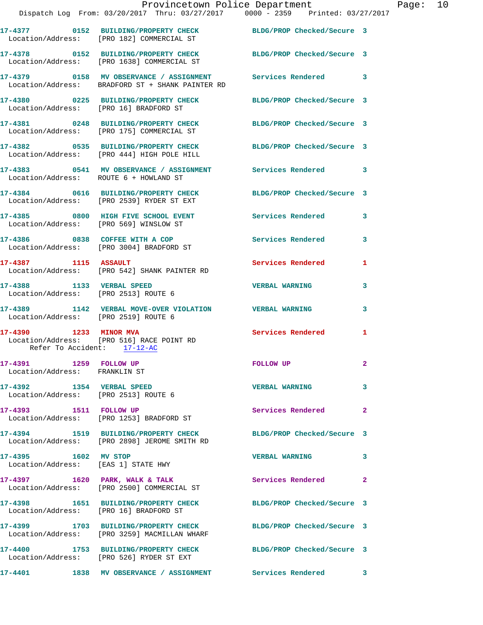|                                                                   | Provincetown Police Department The Page: 10<br>Dispatch Log From: 03/20/2017 Thru: 03/27/2017 0000 - 2359 Printed: 03/27/2017 |                            |                |  |
|-------------------------------------------------------------------|-------------------------------------------------------------------------------------------------------------------------------|----------------------------|----------------|--|
|                                                                   | 17-4377 0152 BUILDING/PROPERTY CHECK BLDG/PROP Checked/Secure 3<br>Location/Address: [PRO 182] COMMERCIAL ST                  |                            |                |  |
|                                                                   | 17-4378 0152 BUILDING/PROPERTY CHECK BLDG/PROP Checked/Secure 3<br>Location/Address: [PRO 1638] COMMERCIAL ST                 |                            |                |  |
|                                                                   | 17-4379 0158 MV OBSERVANCE / ASSIGNMENT Services Rendered 3<br>Location/Address: BRADFORD ST + SHANK PAINTER RD               |                            |                |  |
|                                                                   | 17-4380 0225 BUILDING/PROPERTY CHECK BLDG/PROP Checked/Secure 3<br>Location/Address: [PRO 16] BRADFORD ST                     |                            |                |  |
|                                                                   | 17-4381 0248 BUILDING/PROPERTY CHECK BLDG/PROP Checked/Secure 3<br>Location/Address: [PRO 175] COMMERCIAL ST                  |                            |                |  |
|                                                                   | 17-4382 0535 BUILDING/PROPERTY CHECK BLDG/PROP Checked/Secure 3<br>Location/Address: [PRO 444] HIGH POLE HILL                 |                            |                |  |
| Location/Address: ROUTE 6 + HOWLAND ST                            | 17-4383 0541 MV OBSERVANCE / ASSIGNMENT Services Rendered 3                                                                   |                            |                |  |
|                                                                   | 17-4384 0616 BUILDING/PROPERTY CHECK BLDG/PROP Checked/Secure 3<br>Location/Address: [PRO 2539] RYDER ST EXT                  |                            |                |  |
|                                                                   | 17-4385 0800 HIGH FIVE SCHOOL EVENT Services Rendered 3<br>Location/Address: [PRO 569] WINSLOW ST                             |                            |                |  |
|                                                                   | 17-4386 0838 COFFEE WITH A COP<br>Location/Address: [PRO 3004] BRADFORD ST                                                    | Services Rendered          | $\mathbf{3}$   |  |
|                                                                   | 17-4387 1115 ASSAULT<br>Location/Address: [PRO 542] SHANK PAINTER RD                                                          | Services Rendered 1        |                |  |
| 17-4388 1133 VERBAL SPEED<br>Location/Address: [PRO 2513] ROUTE 6 |                                                                                                                               | <b>VERBAL WARNING</b>      | 3              |  |
| Location/Address: [PRO 2519] ROUTE 6                              | 17-4389 1142 VERBAL MOVE-OVER VIOLATION VERBAL WARNING                                                                        |                            | 3              |  |
| 17-4390 1233 MINOR MVA<br>Refer To Accident: 17-12-AC             | Location/Address: [PRO 516] RACE POINT RD                                                                                     | Services Rendered          | 1              |  |
| 17-4391 1259 FOLLOW UP<br>Location/Address: FRANKLIN ST           |                                                                                                                               | FOLLOW UP                  | $\mathbf{2}$   |  |
| 17-4392 1354 VERBAL SPEED<br>Location/Address: [PRO 2513] ROUTE 6 |                                                                                                                               | <b>VERBAL WARNING</b>      | 3              |  |
|                                                                   | 17-4393 1511 FOLLOW UP<br>Location/Address: [PRO 1253] BRADFORD ST                                                            | Services Rendered          | 2              |  |
|                                                                   | 17-4394 1519 BUILDING/PROPERTY CHECK BLDG/PROP Checked/Secure 3<br>Location/Address: [PRO 2898] JEROME SMITH RD               |                            |                |  |
| 17-4395 1602 MV STOP<br>Location/Address: [EAS 1] STATE HWY       |                                                                                                                               | <b>VERBAL WARNING</b>      | 3              |  |
|                                                                   | 17-4397 1620 PARK, WALK & TALK<br>Location/Address: [PRO 2500] COMMERCIAL ST                                                  | Services Rendered          | $\overline{2}$ |  |
|                                                                   | 17-4398 1651 BUILDING/PROPERTY CHECK BLDG/PROP Checked/Secure 3<br>Location/Address: [PRO 16] BRADFORD ST                     |                            |                |  |
|                                                                   | 17-4399 1703 BUILDING/PROPERTY CHECK BLDG/PROP Checked/Secure 3<br>Location/Address: [PRO 3259] MACMILLAN WHARF               |                            |                |  |
|                                                                   | 17-4400 1753 BUILDING/PROPERTY CHECK<br>Location/Address: [PRO 526] RYDER ST EXT                                              | BLDG/PROP Checked/Secure 3 |                |  |
|                                                                   |                                                                                                                               |                            |                |  |

**17-4401 1838 MV OBSERVANCE / ASSIGNMENT Services Rendered 3**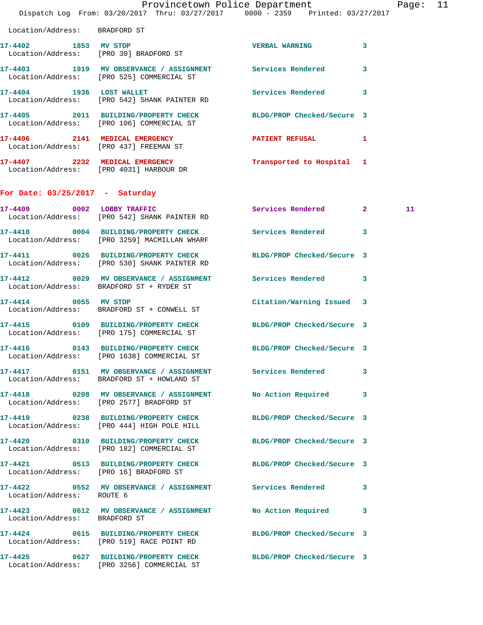|                                        | Dispatch Log From: 03/20/2017 Thru: 03/27/2017 0000 - 2359 Printed: 03/27/2017                                  | Provincetown Police Department |              | Page: 11 |  |
|----------------------------------------|-----------------------------------------------------------------------------------------------------------------|--------------------------------|--------------|----------|--|
| Location/Address: BRADFORD ST          |                                                                                                                 |                                |              |          |  |
|                                        | 17-4402 1853 MV STOP<br>Location/Address: [PRO 30] BRADFORD ST                                                  | VERBAL WARNING 3               |              |          |  |
|                                        | 17-4403 1919 MV OBSERVANCE / ASSIGNMENT Services Rendered 3<br>Location/Address: [PRO 525] COMMERCIAL ST        |                                |              |          |  |
|                                        | 17-4404 1936 LOST WALLET<br>Location/Address: [PRO 542] SHANK PAINTER RD                                        | Services Rendered 3            |              |          |  |
|                                        | 17-4405 2011 BUILDING/PROPERTY CHECK BLDG/PROP Checked/Secure 3<br>Location/Address: [PRO 106] COMMERCIAL ST    |                                |              |          |  |
|                                        | 17-4406 2141 MEDICAL EMERGENCY<br>Location/Address: [PRO 437] FREEMAN ST                                        | PATIENT REFUSAL 1              |              |          |  |
|                                        | 17-4407 2232 MEDICAL EMERGENCY<br>Location/Address: [PRO 4031] HARBOUR DR                                       | Transported to Hospital 1      |              |          |  |
| For Date: $03/25/2017$ - Saturday      |                                                                                                                 |                                |              |          |  |
|                                        | 17-4409 0002 LOBBY TRAFFIC<br>Location/Address: [PRO 542] SHANK PAINTER RD                                      | Services Rendered 2            |              | 11       |  |
|                                        | 17-4410 0004 BUILDING/PROPERTY CHECK Services Rendered 3<br>Location/Address: [PRO 3259] MACMILLAN WHARF        |                                |              |          |  |
|                                        | 17-4411 0026 BUILDING/PROPERTY CHECK BLDG/PROP Checked/Secure 3<br>Location/Address: [PRO 530] SHANK PAINTER RD |                                |              |          |  |
|                                        | 17-4412 0029 MV OBSERVANCE / ASSIGNMENT Services Rendered 3<br>Location/Address: BRADFORD ST + RYDER ST         |                                |              |          |  |
|                                        | 17-4414 0055 MV STOP<br>Location/Address: BRADFORD ST + CONWELL ST                                              | Citation/Warning Issued 3      |              |          |  |
|                                        | 17-4415 0109 BUILDING/PROPERTY CHECK BLDG/PROP Checked/Secure 3<br>Location/Address: [PRO 175] COMMERCIAL ST    |                                |              |          |  |
| $17 - 4416$                            | 0143 BUILDING/PROPERTY CHECK<br>Location/Address: [PRO 1638] COMMERCIAL ST                                      | BLDG/PROP Checked/Secure 3     |              |          |  |
|                                        | 17-4417 0151 MV OBSERVANCE / ASSIGNMENT Services Rendered<br>Location/Address: BRADFORD ST + HOWLAND ST         |                                | $\mathbf{3}$ |          |  |
|                                        | 17-4418 0208 MV OBSERVANCE / ASSIGNMENT<br>Location/Address: [PRO 2577] BRADFORD ST                             | No Action Required 3           |              |          |  |
|                                        | 17-4419 0238 BUILDING/PROPERTY CHECK<br>Location/Address: [PRO 444] HIGH POLE HILL                              | BLDG/PROP Checked/Secure 3     |              |          |  |
|                                        | 17-4420 0310 BUILDING/PROPERTY CHECK BLDG/PROP Checked/Secure 3<br>Location/Address: [PRO 182] COMMERCIAL ST    |                                |              |          |  |
| Location/Address: [PRO 16] BRADFORD ST | 17-4421 0513 BUILDING/PROPERTY CHECK BLDG/PROP Checked/Secure 3                                                 |                                |              |          |  |
| Location/Address: ROUTE 6              | 17-4422 0552 MV OBSERVANCE / ASSIGNMENT Services Rendered 3                                                     |                                |              |          |  |
| Location/Address: BRADFORD ST          | 17-4423 0612 MV OBSERVANCE / ASSIGNMENT NO Action Required 3                                                    |                                |              |          |  |
|                                        | 17-4424 0615 BUILDING/PROPERTY CHECK<br>Location/Address: [PRO 519] RACE POINT RD                               | BLDG/PROP Checked/Secure 3     |              |          |  |
|                                        | 17-4425 0627 BUILDING/PROPERTY CHECK BLDG/PROP Checked/Secure 3<br>Location/Address: [PRO 3256] COMMERCIAL ST   |                                |              |          |  |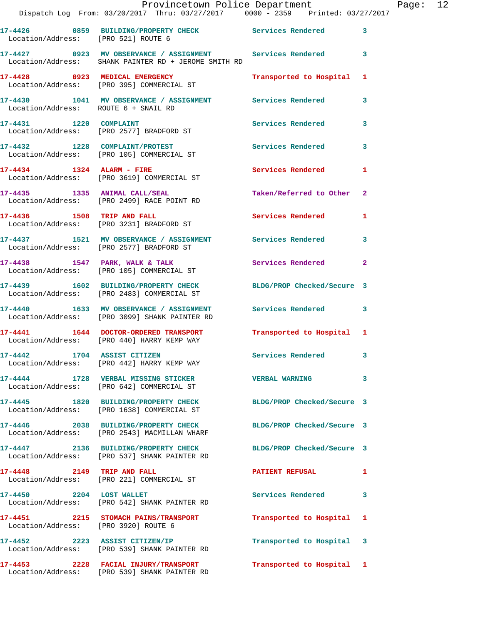|                                      | Provincetown Police Department<br>Dispatch Log From: 03/20/2017 Thru: 03/27/2017 0000 - 2359 Printed: 03/27/2017     |                            |              |
|--------------------------------------|----------------------------------------------------------------------------------------------------------------------|----------------------------|--------------|
|                                      | 17-4426 0859 BUILDING/PROPERTY CHECK Services Rendered<br>Location/Address: [PRO 521] ROUTE 6                        |                            | 3            |
|                                      | 17-4427 		 0923 MV OBSERVANCE / ASSIGNMENT Services Rendered<br>Location/Address: SHANK PAINTER RD + JEROME SMITH RD |                            | 3            |
|                                      | 17-4428 0923 MEDICAL EMERGENCY<br>Location/Address: [PRO 395] COMMERCIAL ST                                          | Transported to Hospital    | 1            |
| Location/Address: ROUTE 6 + SNAIL RD | 17-4430 1041 MV OBSERVANCE / ASSIGNMENT Services Rendered                                                            |                            | 3            |
| 17-4431    1220    COMPLAINT         | Location/Address: [PRO 2577] BRADFORD ST                                                                             | <b>Services Rendered</b>   | 3            |
|                                      | 17-4432 1228 COMPLAINT/PROTEST<br>Location/Address: [PRO 105] COMMERCIAL ST                                          | Services Rendered          | 3            |
| 17-4434   1324   ALARM - FIRE        | Location/Address: [PRO 3619] COMMERCIAL ST                                                                           | <b>Services Rendered</b>   | 1            |
|                                      | 17-4435 1335 ANIMAL CALL/SEAL<br>Location/Address: [PRO 2499] RACE POINT RD                                          | Taken/Referred to Other    | $\mathbf{2}$ |
| 17-4436 1508 TRIP AND FALL           | Location/Address: [PRO 3231] BRADFORD ST                                                                             | <b>Services Rendered</b>   | 1            |
|                                      | 17-4437 1521 MV OBSERVANCE / ASSIGNMENT Services Rendered<br>Location/Address: [PRO 2577] BRADFORD ST                |                            | 3            |
|                                      | $17-4438$ 1547 PARK, WALK & TALK<br>Location/Address: [PRO 105] COMMERCIAL ST                                        | Services Rendered          | $\mathbf{2}$ |
|                                      | 17-4439 1602 BUILDING/PROPERTY CHECK<br>Location/Address: [PRO 2483] COMMERCIAL ST                                   | BLDG/PROP Checked/Secure 3 |              |
|                                      | 17-4440 1633 MV OBSERVANCE / ASSIGNMENT Services Rendered<br>Location/Address: [PRO 3099] SHANK PAINTER RD           |                            | 3            |
|                                      | 17-4441   1644   DOCTOR-ORDERED TRANSPORT<br>Location/Address: [PRO 440] HARRY KEMP WAY                              | Transported to Hospital 1  |              |
| 17-4442 1704 ASSIST CITIZEN          | Location/Address: [PRO 442] HARRY KEMP WAY                                                                           | Services Rendered          |              |
|                                      | 17-4444 1728 VERBAL MISSING STICKER<br>Location/Address: [PRO 642] COMMERCIAL ST                                     | <b>VERBAL WARNING</b>      | 3            |
|                                      | 17-4445 1820 BUILDING/PROPERTY CHECK<br>Location/Address: [PRO 1638] COMMERCIAL ST                                   | BLDG/PROP Checked/Secure 3 |              |
|                                      | 17-4446 2038 BUILDING/PROPERTY CHECK<br>Location/Address: [PRO 2543] MACMILLAN WHARF                                 | BLDG/PROP Checked/Secure 3 |              |
|                                      | 17-4447 2136 BUILDING/PROPERTY CHECK BLDG/PROP Checked/Secure 3<br>Location/Address: [PRO 537] SHANK PAINTER RD      |                            |              |
|                                      | 17-4448 2149 TRIP AND FALL<br>Location/Address: [PRO 221] COMMERCIAL ST                                              | <b>PATIENT REFUSAL</b>     | 1            |
| 17-4450 2204 LOST WALLET             | Location/Address: [PRO 542] SHANK PAINTER RD                                                                         | Services Rendered          | 3            |
| Location/Address: [PRO 3920] ROUTE 6 | 17-4451 2215 STOMACH PAINS/TRANSPORT                                                                                 | Transported to Hospital    | 1            |
|                                      | 17-4452 2223 ASSIST CITIZEN/IP<br>Location/Address: [PRO 539] SHANK PAINTER RD                                       | Transported to Hospital    | 3            |

**17-4453 2228 FACIAL INJURY/TRANSPORT Transported to Hospital 1** 

Location/Address: [PRO 539] SHANK PAINTER RD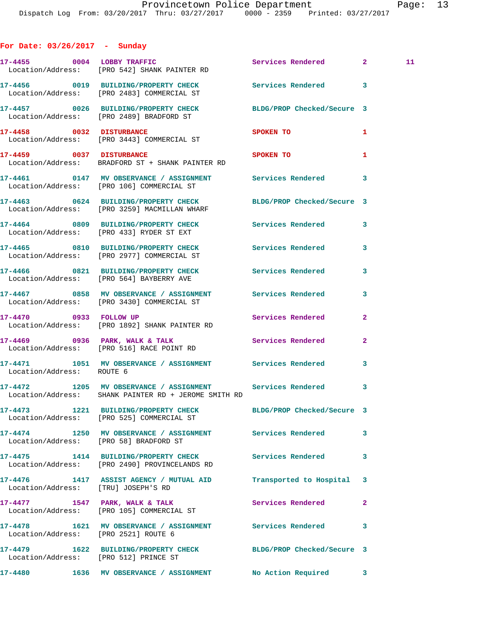## **For Date: 03/26/2017 - Sunday**

|                                        | 17-4455 0004 LOBBY TRAFFIC<br>Location/Address: [PRO 542] SHANK PAINTER RD                                          | Services Rendered 2 11     |                |  |
|----------------------------------------|---------------------------------------------------------------------------------------------------------------------|----------------------------|----------------|--|
|                                        | 17-4456 0019 BUILDING/PROPERTY CHECK Services Rendered 3<br>Location/Address: [PRO 2483] COMMERCIAL ST              |                            |                |  |
|                                        | 17-4457 0026 BUILDING/PROPERTY CHECK BLDG/PROP Checked/Secure 3<br>Location/Address: [PRO 2489] BRADFORD ST         |                            |                |  |
|                                        | 17-4458 0032 DISTURBANCE<br>Location/Address: [PRO 3443] COMMERCIAL ST                                              | SPOKEN TO                  | 1              |  |
| 17-4459 0037 DISTURBANCE               | Location/Address: BRADFORD ST + SHANK PAINTER RD                                                                    | SPOKEN TO                  | $\mathbf{1}$   |  |
|                                        | 17-4461 0147 MV OBSERVANCE / ASSIGNMENT Services Rendered 3<br>Location/Address: [PRO 106] COMMERCIAL ST            |                            |                |  |
|                                        | 17-4463 0624 BUILDING/PROPERTY CHECK BLDG/PROP Checked/Secure 3<br>Location/Address: [PRO 3259] MACMILLAN WHARF     |                            |                |  |
|                                        | 17-4464 0809 BUILDING/PROPERTY CHECK Services Rendered 3<br>Location/Address: [PRO 433] RYDER ST EXT                |                            |                |  |
|                                        | 17-4465 0810 BUILDING/PROPERTY CHECK Services Rendered<br>Location/Address: [PRO 2977] COMMERCIAL ST                |                            | 3              |  |
|                                        | 17-4466 0821 BUILDING/PROPERTY CHECK Services Rendered<br>Location/Address: [PRO 564] BAYBERRY AVE                  |                            | $\mathbf{3}$   |  |
|                                        | 17-4467 6858 MV OBSERVANCE / ASSIGNMENT Services Rendered<br>Location/Address: [PRO 3430] COMMERCIAL ST             |                            | 3              |  |
| 17-4470 0933 FOLLOW UP                 | Location/Address: [PRO 1892] SHANK PAINTER RD                                                                       | Services Rendered          | $\mathbf{2}$   |  |
|                                        | 17-4469 0936 PARK, WALK & TALK 2008 Services Rendered<br>Location/Address: [PRO 516] RACE POINT RD                  |                            | $\mathbf{2}$   |  |
| Location/Address: ROUTE 6              | 17-4471 1051 MV OBSERVANCE / ASSIGNMENT Services Rendered 3                                                         |                            |                |  |
|                                        | 17-4472 1205 MV OBSERVANCE / ASSIGNMENT Services Rendered 3<br>Location/Address: SHANK PAINTER RD + JEROME SMITH RD |                            |                |  |
|                                        | 17-4473 1221 BUILDING/PROPERTY CHECK<br>Location/Address: [PRO 525] COMMERCIAL ST                                   | BLDG/PROP Checked/Secure 3 |                |  |
| Location/Address: [PRO 58] BRADFORD ST | 17-4474 1250 MV OBSERVANCE / ASSIGNMENT Services Rendered                                                           |                            | 3              |  |
|                                        | 17-4475 1414 BUILDING/PROPERTY CHECK Services Rendered<br>Location/Address: [PRO 2490] PROVINCELANDS RD             |                            | 3              |  |
| Location/Address: [TRU] JOSEPH'S RD    | 17-4476 1417 ASSIST AGENCY / MUTUAL AID Transported to Hospital                                                     |                            | 3              |  |
|                                        | $17-4477$ $1547$ PARK, WALK & TALK<br>Location/Address: [PRO 105] COMMERCIAL ST                                     | <b>Services Rendered</b>   | $\overline{2}$ |  |
| Location/Address: [PRO 2521] ROUTE 6   | 17-4478 1621 MV OBSERVANCE / ASSIGNMENT Services Rendered                                                           |                            | 3              |  |
| Location/Address: [PRO 512] PRINCE ST  | 17-4479 1622 BUILDING/PROPERTY CHECK BLDG/PROP Checked/Secure 3                                                     |                            |                |  |
|                                        | 17-4480                1636     MV  OBSERVANCE  /  ASSIGNMENT                 No  Action  Required                  |                            | 3              |  |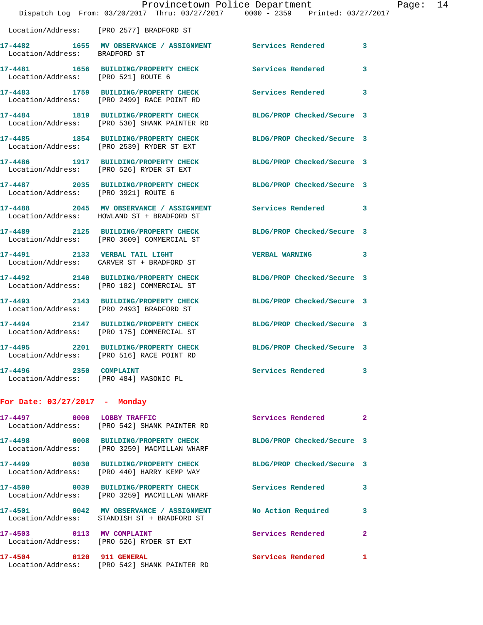|                                      | Provincetown Police Department                                                         | Dispatch Log From: 03/20/2017 Thru: 03/27/2017 0000 - 2359 Printed: 03/27/2017 |              |
|--------------------------------------|----------------------------------------------------------------------------------------|--------------------------------------------------------------------------------|--------------|
|                                      | Location/Address: [PRO 2577] BRADFORD ST                                               |                                                                                |              |
| Location/Address: BRADFORD ST        | 17-4482 1655 MV OBSERVANCE / ASSIGNMENT Services Rendered                              |                                                                                | 3            |
| Location/Address: [PRO 521] ROUTE 6  | 17-4481 1656 BUILDING/PROPERTY CHECK                                                   | <b>Services Rendered</b>                                                       | 3            |
|                                      | 17-4483 1759 BUILDING/PROPERTY CHECK<br>Location/Address: [PRO 2499] RACE POINT RD     | <b>Services Rendered</b>                                                       | 3            |
|                                      | 17-4484 1819 BUILDING/PROPERTY CHECK<br>Location/Address: [PRO 530] SHANK PAINTER RD   | BLDG/PROP Checked/Secure 3                                                     |              |
|                                      | 17-4485 1854 BUILDING/PROPERTY CHECK<br>Location/Address: [PRO 2539] RYDER ST EXT      | BLDG/PROP Checked/Secure 3                                                     |              |
|                                      | 17-4486 1917 BUILDING/PROPERTY CHECK<br>Location/Address: [PRO 526] RYDER ST EXT       | BLDG/PROP Checked/Secure 3                                                     |              |
| Location/Address: [PRO 3921] ROUTE 6 | 17-4487 2035 BUILDING/PROPERTY CHECK                                                   | BLDG/PROP Checked/Secure 3                                                     |              |
|                                      | 17-4488 2045 MV OBSERVANCE / ASSIGNMENT<br>Location/Address: HOWLAND ST + BRADFORD ST  | Services Rendered                                                              | 3            |
|                                      | 17-4489 2125 BUILDING/PROPERTY CHECK<br>Location/Address: [PRO 3609] COMMERCIAL ST     | BLDG/PROP Checked/Secure 3                                                     |              |
|                                      | 17-4491 2133 VERBAL TAIL LIGHT<br>Location/Address: CARVER ST + BRADFORD ST            | <b>VERBAL WARNING</b>                                                          | 3            |
|                                      | 17-4492 2140 BUILDING/PROPERTY CHECK<br>Location/Address: [PRO 182] COMMERCIAL ST      | BLDG/PROP Checked/Secure 3                                                     |              |
|                                      | 17-4493 2143 BUILDING/PROPERTY CHECK<br>Location/Address: [PRO 2493] BRADFORD ST       | BLDG/PROP Checked/Secure 3                                                     |              |
|                                      | 17-4494 2147 BUILDING/PROPERTY CHECK<br>Location/Address: [PRO 175] COMMERCIAL ST      | BLDG/PROP Checked/Secure 3                                                     |              |
| 17-4495 2201                         | <b>BUILDING/PROPERTY CHECK</b><br>Location/Address: [PRO 516] RACE POINT RD            | BLDG/PROP Checked/Secure 3                                                     |              |
| 17-4496 2350 COMPLAINT               | Location/Address: [PRO 484] MASONIC PL                                                 | Services Rendered                                                              | 3            |
| For Date: 03/27/2017 - Monday        |                                                                                        |                                                                                |              |
| 17-4497 0000 LOBBY TRAFFIC           | Location/Address: [PRO 542] SHANK PAINTER RD                                           | Services Rendered                                                              | $\mathbf{2}$ |
|                                      | 17-4498 0008 BUILDING/PROPERTY CHECK<br>Location/Address: [PRO 3259] MACMILLAN WHARF   | BLDG/PROP Checked/Secure 3                                                     |              |
|                                      | 17-4499 0030 BUILDING/PROPERTY CHECK<br>Location/Address: [PRO 440] HARRY KEMP WAY     | BLDG/PROP Checked/Secure 3                                                     |              |
|                                      | 17-4500 0039 BUILDING/PROPERTY CHECK<br>Location/Address: [PRO 3259] MACMILLAN WHARF   | <b>Services Rendered</b>                                                       | 3            |
|                                      | 17-4501 0042 MV OBSERVANCE / ASSIGNMENT<br>Location/Address: STANDISH ST + BRADFORD ST | <b>No Action Required</b>                                                      | 3            |
|                                      | 17-4503 0113 MV COMPLAINT<br>Location/Address: [PRO 526] RYDER ST EXT                  | Services Rendered                                                              | 2            |
| 17-4504 0120 911 GENERAL             | Location/Address: [PRO 542] SHANK PAINTER RD                                           | Services Rendered                                                              | 1            |